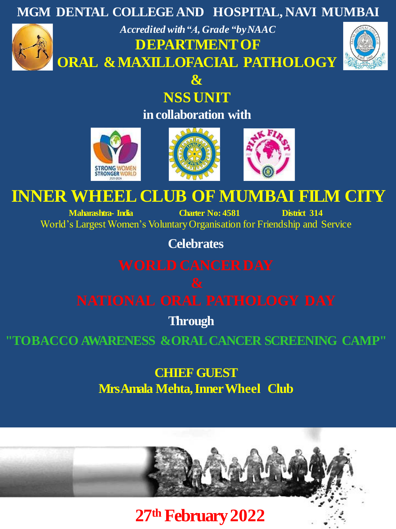

**in collaboration with**





# **INNER WHEEL CLUB OF MUMBAI FILM CITY**

**Maharashtra- India Charter No: 4581 District 314** World's Largest Women's Voluntary Organisation for Friendship and Service

**Celebrates**

**Through**

**"TOBACCO AWARENESS &ORAL CANCER SCREENING CAMP"**

**CHIEF GUEST Mrs Amala Mehta, Inner Wheel Club**



**27th February2022**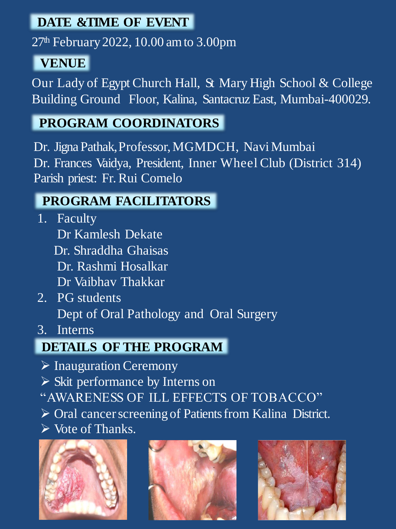### **DATE & TIME OF EVENT**

 $27<sup>th</sup>$  February 2022, 10.00 am to 3.00pm

## **VENUE**

Our Lady of Egypt Church Hall, St Mary High School & College Building Ground Floor, Kalina, Santacruz East, Mumbai-400029.

## **PROGRAM COORDINATORS**

Dr. Jigna Pathak, Professor, MGMDCH, NaviMumbai Dr. Frances Vaidya, President, Inner Wheel Club (District 314) Parish priest: Fr. Rui Comelo

### **PROGRAM FACILITATORS**

- 1. Faculty Dr Kamlesh Dekate Dr. Shraddha Ghaisas Dr. Rashmi Hosalkar Dr Vaibhav Thakkar
- 2. PG students Dept of Oral Pathology and Oral Surgery
- 3. Interns

## **DETAILS OF THE PROGRAM**

- ➢ Inauguration Ceremony
- ➢ Skit performance by Interns on
- "AWARENESS OF ILL EFFECTS OF TOBACCO"
- ➢ Oral cancer screening of Patients from Kalina District.
- ➢ Vote of Thanks.





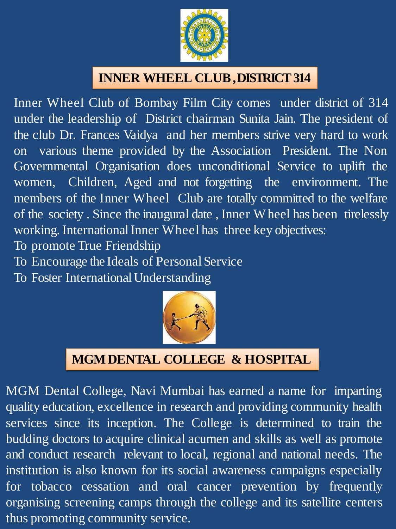

### **INNER WHEEL CLUB,DISTRICT314**

Inner Wheel Club of Bombay Film City comes under district of 314 under the leadership of District chairman Sunita Jain. The president of the club Dr. Frances Vaidya and her members strive very hard to work on various theme provided by the Association President. The Non Governmental Organisation does unconditional Service to uplift the women, Children, Aged and not forgetting the environment. The members of the Inner Wheel Club are totally committed to the welfare of the society . Since the inaugural date , Inner Wheel has been tirelessly working. International Inner Wheel has three key objectives:

- To promote True Friendship
- To Encourage the Ideals of Personal Service
- To Foster International Understanding



### **MGMDENTAL COLLEGE & HOSPITAL**

MGM Dental College, Navi Mumbai has earned a name for imparting quality education, excellence in research and providing community health services since its inception. The College is determined to train the budding doctors to acquire clinical acumen and skills as well as promote and conduct research relevant to local, regional and national needs. The institution is also known for its social awareness campaigns especially for tobacco cessation and oral cancer prevention by frequently organising screening camps through the college and its satellite centers thus promoting community service.